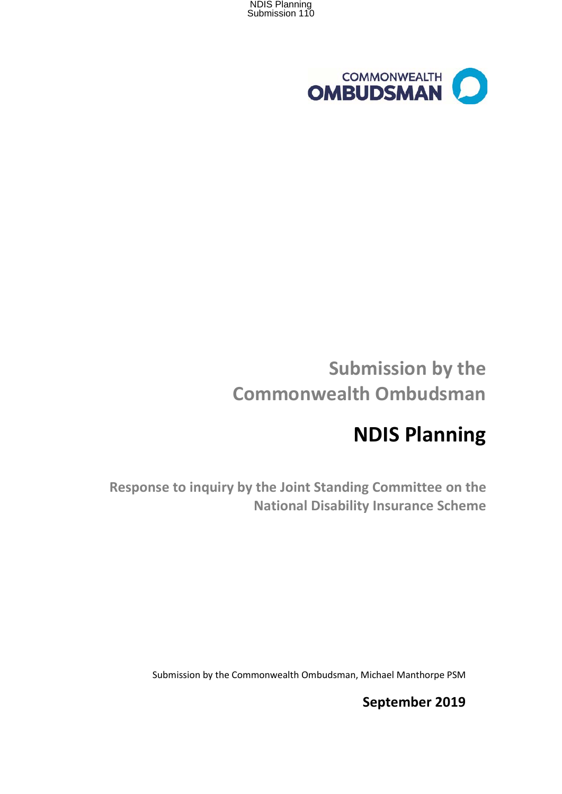



# **Submission by the Commonwealth Ombudsman**

# **NDIS Planning**

**Response to inquiry by the Joint Standing Committee on the National Disability Insurance Scheme**

Submission by the Commonwealth Ombudsman, Michael Manthorpe PSM

**September 2019**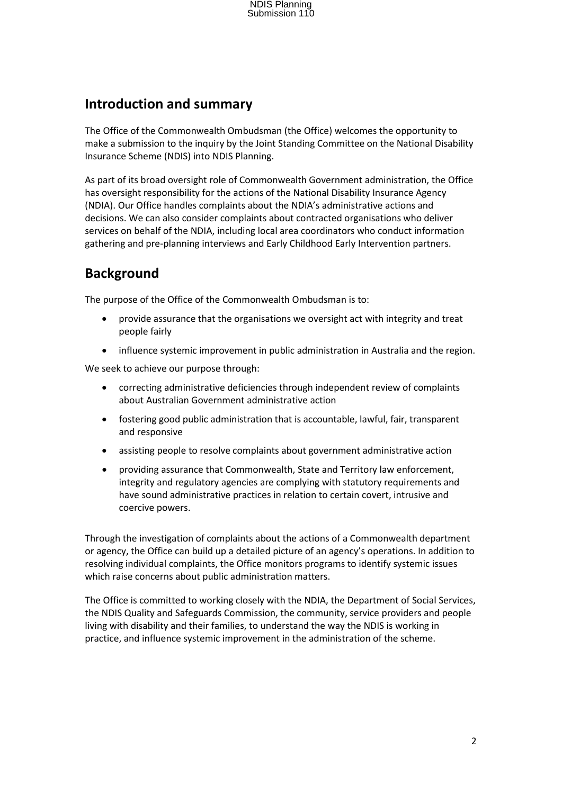### **Introduction and summary**

The Office of the Commonwealth Ombudsman (the Office) welcomes the opportunity to make a submission to the inquiry by the Joint Standing Committee on the National Disability Insurance Scheme (NDIS) into NDIS Planning.

As part of its broad oversight role of Commonwealth Government administration, the Office has oversight responsibility for the actions of the National Disability Insurance Agency (NDIA). Our Office handles complaints about the NDIA's administrative actions and decisions. We can also consider complaints about contracted organisations who deliver services on behalf of the NDIA, including local area coordinators who conduct information gathering and pre-planning interviews and Early Childhood Early Intervention partners.

## **Background**

The purpose of the Office of the Commonwealth Ombudsman is to:

- provide assurance that the organisations we oversight act with integrity and treat people fairly
- influence systemic improvement in public administration in Australia and the region.

We seek to achieve our purpose through:

- correcting administrative deficiencies through independent review of complaints about Australian Government administrative action
- fostering good public administration that is accountable, lawful, fair, transparent and responsive
- assisting people to resolve complaints about government administrative action
- providing assurance that Commonwealth, State and Territory law enforcement, integrity and regulatory agencies are complying with statutory requirements and have sound administrative practices in relation to certain covert, intrusive and coercive powers.

Through the investigation of complaints about the actions of a Commonwealth department or agency, the Office can build up a detailed picture of an agency's operations. In addition to resolving individual complaints, the Office monitors programs to identify systemic issues which raise concerns about public administration matters.

The Office is committed to working closely with the NDIA, the Department of Social Services, the NDIS Quality and Safeguards Commission, the community, service providers and people living with disability and their families, to understand the way the NDIS is working in practice, and influence systemic improvement in the administration of the scheme.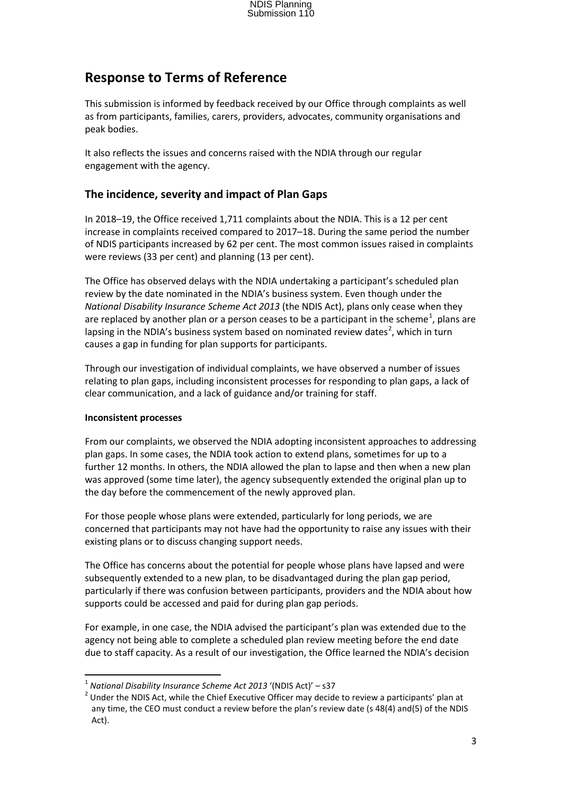## **Response to Terms of Reference**

This submission is informed by feedback received by our Office through complaints as well as from participants, families, carers, providers, advocates, community organisations and peak bodies.

It also reflects the issues and concerns raised with the NDIA through our regular engagement with the agency.

### **The incidence, severity and impact of Plan Gaps**

In 2018–19, the Office received 1,711 complaints about the NDIA. This is a 12 per cent increase in complaints received compared to 2017–18. During the same period the number of NDIS participants increased by 62 per cent. The most common issues raised in complaints were reviews (33 per cent) and planning (13 per cent).

The Office has observed delays with the NDIA undertaking a participant's scheduled plan review by the date nominated in the NDIA's business system. Even though under the *National Disability Insurance Scheme Act 2013* (the NDIS Act), plans only cease when they are replaced by another plan or a person ceases to be a participant in the scheme<sup>1</sup>, plans are lapsing in the NDIA's business system based on nominated review dates<sup>2</sup>, which in turn causes a gap in funding for plan supports for participants.

Through our investigation of individual complaints, we have observed a number of issues relating to plan gaps, including inconsistent processes for responding to plan gaps, a lack of clear communication, and a lack of guidance and/or training for staff.

#### **Inconsistent processes**

From our complaints, we observed the NDIA adopting inconsistent approaches to addressing plan gaps. In some cases, the NDIA took action to extend plans, sometimes for up to a further 12 months. In others, the NDIA allowed the plan to lapse and then when a new plan was approved (some time later), the agency subsequently extended the original plan up to the day before the commencement of the newly approved plan.

For those people whose plans were extended, particularly for long periods, we are concerned that participants may not have had the opportunity to raise any issues with their existing plans or to discuss changing support needs.

The Office has concerns about the potential for people whose plans have lapsed and were subsequently extended to a new plan, to be disadvantaged during the plan gap period, particularly if there was confusion between participants, providers and the NDIA about how supports could be accessed and paid for during plan gap periods.

For example, in one case, the NDIA advised the participant's plan was extended due to the agency not being able to complete a scheduled plan review meeting before the end date due to staff capacity. As a result of our investigation, the Office learned the NDIA's decision

<sup>&</sup>lt;sup>1</sup> *National Disability Insurance Scheme Act 2013* '(NDIS Act)' – s37<br><sup>2</sup> Under the NDIS Act, while the Chief Executive Officer may decide to review a participants' plan at any time, the CEO must conduct a review before the plan's review date (s 48(4) and(5) of the NDIS Act).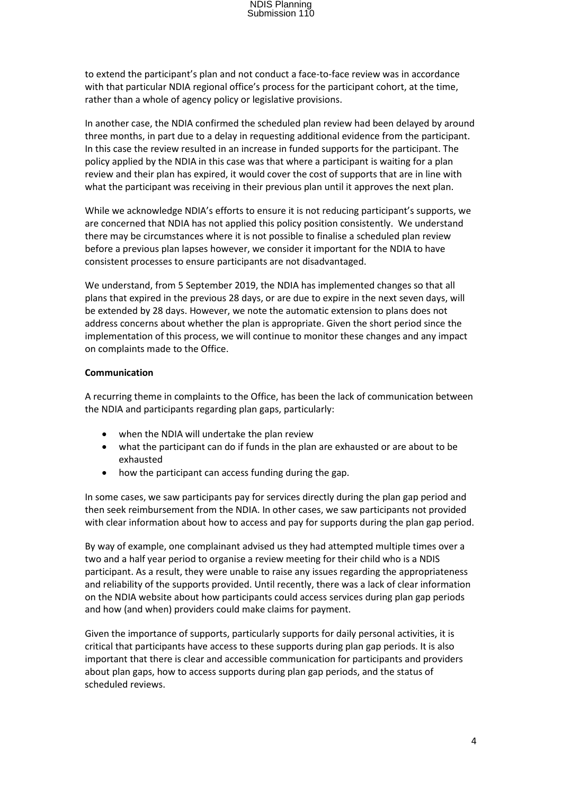to extend the participant's plan and not conduct a face-to-face review was in accordance with that particular NDIA regional office's process for the participant cohort, at the time, rather than a whole of agency policy or legislative provisions.

In another case, the NDIA confirmed the scheduled plan review had been delayed by around three months, in part due to a delay in requesting additional evidence from the participant. In this case the review resulted in an increase in funded supports for the participant. The policy applied by the NDIA in this case was that where a participant is waiting for a plan review and their plan has expired, it would cover the cost of supports that are in line with what the participant was receiving in their previous plan until it approves the next plan.

While we acknowledge NDIA's efforts to ensure it is not reducing participant's supports, we are concerned that NDIA has not applied this policy position consistently. We understand there may be circumstances where it is not possible to finalise a scheduled plan review before a previous plan lapses however, we consider it important for the NDIA to have consistent processes to ensure participants are not disadvantaged.

We understand, from 5 September 2019, the NDIA has implemented changes so that all plans that expired in the previous 28 days, or are due to expire in the next seven days, will be extended by 28 days. However, we note the automatic extension to plans does not address concerns about whether the plan is appropriate. Given the short period since the implementation of this process, we will continue to monitor these changes and any impact on complaints made to the Office.

#### **Communication**

A recurring theme in complaints to the Office, has been the lack of communication between the NDIA and participants regarding plan gaps, particularly:

- when the NDIA will undertake the plan review
- what the participant can do if funds in the plan are exhausted or are about to be exhausted
- how the participant can access funding during the gap.

In some cases, we saw participants pay for services directly during the plan gap period and then seek reimbursement from the NDIA. In other cases, we saw participants not provided with clear information about how to access and pay for supports during the plan gap period.

By way of example, one complainant advised us they had attempted multiple times over a two and a half year period to organise a review meeting for their child who is a NDIS participant. As a result, they were unable to raise any issues regarding the appropriateness and reliability of the supports provided. Until recently, there was a lack of clear information on the NDIA website about how participants could access services during plan gap periods and how (and when) providers could make claims for payment.

Given the importance of supports, particularly supports for daily personal activities, it is critical that participants have access to these supports during plan gap periods. It is also important that there is clear and accessible communication for participants and providers about plan gaps, how to access supports during plan gap periods, and the status of scheduled reviews.